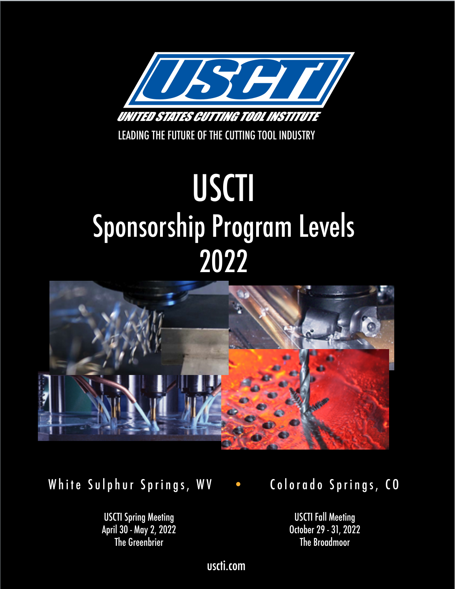

LEADING THE FUTURE OF THE CUTTING TOOL INDUSTRY

# USCTI Sponsorship Program Levels 2022



White Sulphur Springs, WV • Colorado Springs, CO

USCTI Spring Meeting April 30 - May 2, 2022 The Greenbrier

USCTI Fall Meeting October 29 - 31, 2022 The Broadmoor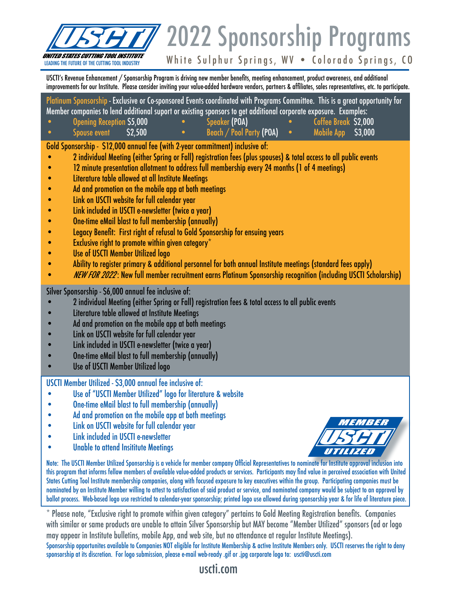

# 2022 Sponsorship Programs

White Sulphur Springs, WV . Colorado Springs, CO

USCTI's Revenue Enhancement / Sponsorship Program is driving new member benefits, meeting enhancement, product awareness, and additional improvements for our Institute. Please consider inviting your value-added hardware vendors, partners & affiliates, sales representatives, etc. to participate.

Platinum Sponsorship - Exclusive or Co-sponsored Events coordinated with Programs Committee. This is a great opportunity for Member companies to lend additional suport or existing sponsors to get additional corporate exposure. Examples:

• Opening Reception \$5,000 • Speaker (POA) • Coffee Break \$2,000 • Spouse event \$2,500 • Beach / Pool Party (POA) • Mobile App \$3,000

Gold Sponsorship - \$12,000 annual fee (with 2-year commitment) inclusive of:

- 2 individual Meeting (either Spring or Fall) registration fees (plus spouses) & total access to all public events
- 12 minute presentation allotment to address full membership every 24 months (1 of 4 meetings)
- Literature table allowed at all Institute Meetings
- Ad and promotion on the mobile app at both meetings
- Link on USCTI website for full calendar year
- Link included in USCTI e-newsletter (twice a year)
- One-time eMail blast to full membership (annually)
- Legacy Benefit: First right of refusal to Gold Sponsorship for ensuing years
- $\bullet$  Exclusive right to promote within given category\*
- Use of USCTI Member Utilized logo
- Ability to register primary & additional personnel for both annual Institute meetings (standard fees apply)
- *NEW FOR 2022*: New full member recruitment earns Platinum Sponsorship recognition (including USCTI Scholarship)

Silver Sponsorship - \$6,000 annual fee inclusive of:

- 2 individual Meeting (either Spring or Fall) registration fees & total access to all public events
- Literature table allowed at Institute Meetings
- Ad and promotion on the mobile app at both meetings
- Link on USCTI website for full calendar year
- Link included in USCTI e-newsletter (twice a year)
- One-time eMail blast to full membership (annually)
- Use of USCTI Member Utilized logo

USCTI Member Utilized - \$3,000 annual fee inclusive of:

- Use of "USCTI Member Utilized" logo for literature & website
- One-time eMail blast to full membership (annually)
- Ad and promotion on the mobile app at both meetings
- Link on USCTI website for full calendar year
- Link included in USCTI e-newsletter
- Unable to attend Insititute Meetings



Note: The USCTI Member Utilized Sponsorship is a vehicle for member company Official Representatives to nominate for Institute approval inclusion into this program that informs fellow members of available value-added products or services. Participants may find value in perceived association with United States Cutting Tool Institute membership companies, along with focused exposure to key executives within the group. Participating companies must be nominated by an Institute Member willing to attest to satisfaction of said product or service, and nominated company would be subject to an approval by ballot process. Web-based logo use restricted to calendar-year sponsorship; printed logo use allowed during sponsorship year & for life of literature piece.

\* Please note, "Exclusive right to promote within given category" pertains to Gold Meeting Registration benefits. Companies with similar or same products are unable to attain Silver Sponsorship but MAY become "Member Utilized" sponsors (ad or logo may appear in Institute bulletins, mobile App, and web site, but no attendance at regular Institute Meetings).

Sponsorship opportunites available to Companies NOT eligible for Institute Membership & active Institute Members only. USCTI reserves the right to deny sponsorship at its discretion. For logo submission, please e-mail web-ready .gif or .jpg corporate logo to: uscti@uscti.com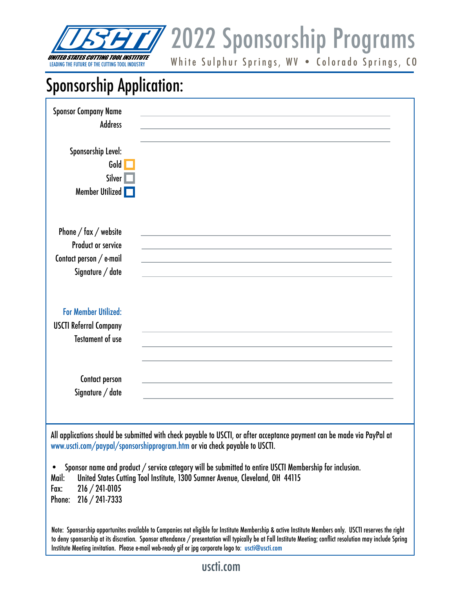

**USCII** 2022 Sponsorship Programs

White Sulphur Springs, WV . Colorado Springs, CO

# Sponsorship Application:

| <b>Sponsor Company Name</b><br><b>Address</b><br>Sponsorship Level:<br>Gold<br>Silver <sup>1</sup><br>Member Utilized                                                                                                                                                                                                                                                                                                                                                                 |  |  |
|---------------------------------------------------------------------------------------------------------------------------------------------------------------------------------------------------------------------------------------------------------------------------------------------------------------------------------------------------------------------------------------------------------------------------------------------------------------------------------------|--|--|
| Phone $/$ fax $/$ website<br><b>Product or service</b><br>Contact person / e-mail<br>Signature / date                                                                                                                                                                                                                                                                                                                                                                                 |  |  |
| <b>For Member Utilized:</b><br><b>USCTI Referral Company</b><br><b>Testament of use</b>                                                                                                                                                                                                                                                                                                                                                                                               |  |  |
| Contact person<br>Signature / date                                                                                                                                                                                                                                                                                                                                                                                                                                                    |  |  |
| All applications should be submitted with check payable to USCTI, or after acceptance payment can be made via PayPal at<br>www.uscti.com/paypal/sponsorshipprogram.htm or via check payable to USCTI.<br>Sponsor name and product / service category will be submitted to entire USCTI Membership for inclusion.<br>$\bullet$<br>United States Cutting Tool Institute, 1300 Sumner Avenue, Cleveland, OH 44115<br>Mail:<br>$216 / 241 - 0105$<br>Fax:<br>$216 / 241 - 7333$<br>Phone: |  |  |

Note: Sponsorship opportunites available to Companies not eligible for Institute Membership & active Institute Members only. USCTI reserves the right to deny sponsorship at its discretion. Sponsor attendance / presentation will typically be at Fall Institute Meeting; conflict resolution may include Spring Institute Meeting invitation. Please e-mail web-ready gif or jpg corporate logo to: uscti@uscti.com